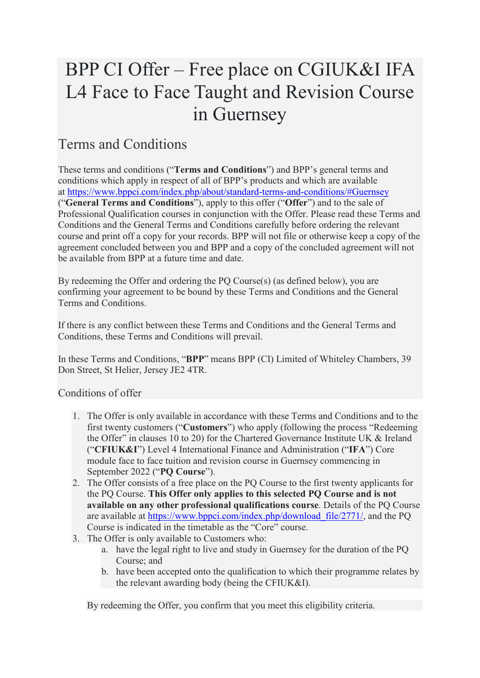# BPP CI Offer – Free place on CGIUK&I IFA L4 Face to Face Taught and Revision Course in Guernsey

## Terms and Conditions

These terms and conditions ("**Terms and Conditions**") and BPP's general terms and conditions which apply in respect of all of BPP's products and which are available at <https://www.bppci.com/index.php/about/standard-terms-and-conditions/#Guernsey> ("**General Terms and Conditions**"), apply to this offer ("**Offer**") and to the sale of Professional Qualification courses in conjunction with the Offer. Please read these Terms and Conditions and the General Terms and Conditions carefully before ordering the relevant course and print off a copy for your records. BPP will not file or otherwise keep a copy of the agreement concluded between you and BPP and a copy of the concluded agreement will not be available from BPP at a future time and date.

By redeeming the Offer and ordering the PQ Course(s) (as defined below), you are confirming your agreement to be bound by these Terms and Conditions and the General Terms and Conditions.

If there is any conflict between these Terms and Conditions and the General Terms and Conditions, these Terms and Conditions will prevail.

In these Terms and Conditions, "**BPP**" means BPP (CI) Limited of Whiteley Chambers, 39 Don Street, St Helier, Jersey JE2 4TR.

Conditions of offer

- 1. The Offer is only available in accordance with these Terms and Conditions and to the first twenty customers ("**Customers**") who apply (following the process "Redeeming the Offer" in clauses 10 to 20) for the Chartered Governance Institute UK & Ireland ("**CFIUK&I**") Level 4 International Finance and Administration ("**IFA**") Core module face to face tuition and revision course in Guernsey commencing in September 2022 ("**PQ Course**").
- 2. The Offer consists of a free place on the PQ Course to the first twenty applicants for the PQ Course. **This Offer only applies to this selected PQ Course and is not available on any other professional qualifications course**. Details of the PQ Course are available at [https://www.bppci.com/index.php/download\\_file/2771/,](https://www.bppci.com/index.php/download_file/2771/) and the PQ Course is indicated in the timetable as the "Core" course.
- 3. The Offer is only available to Customers who:
	- a. have the legal right to live and study in Guernsey for the duration of the PQ Course; and
	- b. have been accepted onto the qualification to which their programme relates by the relevant awarding body (being the CFIUK&I).

By redeeming the Offer, you confirm that you meet this eligibility criteria.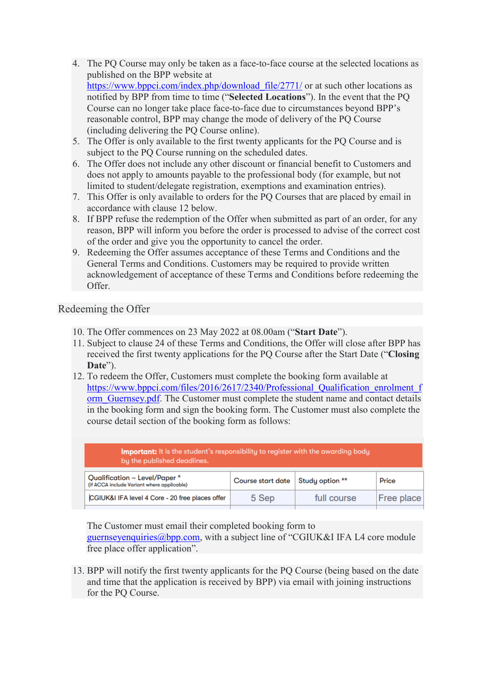- 4. The PQ Course may only be taken as a face-to-face course at the selected locations as published on the BPP website at https://www.bppci.com/index.php/download file/2771/ or at such other locations as notified by BPP from time to time ("**Selected Locations**"). In the event that the PQ Course can no longer take place face-to-face due to circumstances beyond BPP's reasonable control, BPP may change the mode of delivery of the PQ Course (including delivering the PQ Course online).
- 5. The Offer is only available to the first twenty applicants for the PQ Course and is subject to the PQ Course running on the scheduled dates.
- 6. The Offer does not include any other discount or financial benefit to Customers and does not apply to amounts payable to the professional body (for example, but not limited to student/delegate registration, exemptions and examination entries).
- 7. This Offer is only available to orders for the PQ Courses that are placed by email in accordance with clause 12 below.
- 8. If BPP refuse the redemption of the Offer when submitted as part of an order, for any reason, BPP will inform you before the order is processed to advise of the correct cost of the order and give you the opportunity to cancel the order.
- 9. Redeeming the Offer assumes acceptance of these Terms and Conditions and the General Terms and Conditions. Customers may be required to provide written acknowledgement of acceptance of these Terms and Conditions before redeeming the Offer.

### Redeeming the Offer

- 10. The Offer commences on 23 May 2022 at 08.00am ("**Start Date**").
- 11. Subject to clause 24 of these Terms and Conditions, the Offer will close after BPP has received the first twenty applications for the PQ Course after the Start Date ("**Closing Date**").
- 12. To redeem the Offer, Customers must complete the booking form available at [https://www.bppci.com/files/2016/2617/2340/Professional\\_Qualification\\_enrolment\\_f](https://www.bppci.com/files/2016/2617/2340/Professional_Qualification_enrolment_form_Guernsey.pdf) orm Guernsey.pdf. The Customer must complete the student name and contact details in the booking form and sign the booking form. The Customer must also complete the course detail section of the booking form as follows:

| <b>Important:</b> It is the student's responsibility to register with the awarding body<br>by the published deadlines. |                   |                 |            |
|------------------------------------------------------------------------------------------------------------------------|-------------------|-----------------|------------|
| Qualification - Level/Paper *<br>(if ACCA include Variant where applicable)                                            | Course start date | Study option ** | Price      |
| CGIUK&I IFA level 4 Core - 20 free places offer                                                                        | 5 Sep             | full course     | Free place |

The Customer must email their completed booking form to [guernseyenquiries@bpp.com,](mailto:guernseyenquiries@bpp.com) with a subject line of "CGIUK&I IFA L4 core module free place offer application".

13. BPP will notify the first twenty applicants for the PQ Course (being based on the date and time that the application is received by BPP) via email with joining instructions for the PQ Course.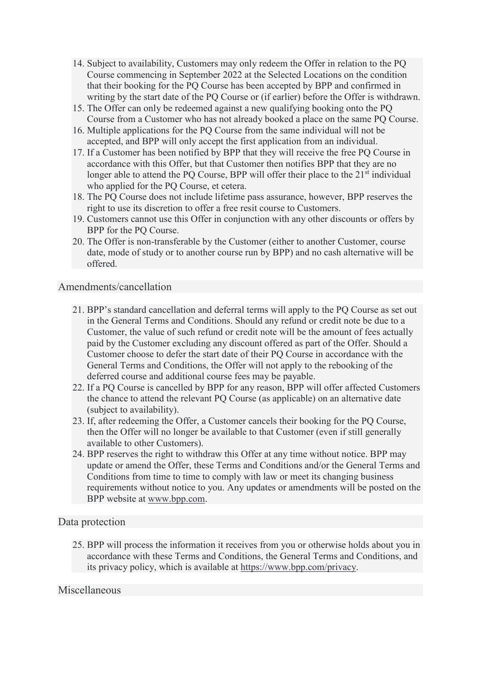- 14. Subject to availability, Customers may only redeem the Offer in relation to the PQ Course commencing in September 2022 at the Selected Locations on the condition that their booking for the PQ Course has been accepted by BPP and confirmed in writing by the start date of the PQ Course or (if earlier) before the Offer is withdrawn.
- 15. The Offer can only be redeemed against a new qualifying booking onto the PQ Course from a Customer who has not already booked a place on the same PQ Course.
- 16. Multiple applications for the PQ Course from the same individual will not be accepted, and BPP will only accept the first application from an individual.
- 17. If a Customer has been notified by BPP that they will receive the free PQ Course in accordance with this Offer, but that Customer then notifies BPP that they are no longer able to attend the PQ Course, BPP will offer their place to the  $21<sup>st</sup>$  individual who applied for the PQ Course, et cetera.
- 18. The PQ Course does not include lifetime pass assurance, however, BPP reserves the right to use its discretion to offer a free resit course to Customers.
- 19. Customers cannot use this Offer in conjunction with any other discounts or offers by BPP for the PQ Course.
- 20. The Offer is non-transferable by the Customer (either to another Customer, course date, mode of study or to another course run by BPP) and no cash alternative will be offered.

#### Amendments/cancellation

- 21. BPP's standard cancellation and deferral terms will apply to the PQ Course as set out in the General Terms and Conditions. Should any refund or credit note be due to a Customer, the value of such refund or credit note will be the amount of fees actually paid by the Customer excluding any discount offered as part of the Offer. Should a Customer choose to defer the start date of their PQ Course in accordance with the General Terms and Conditions, the Offer will not apply to the rebooking of the deferred course and additional course fees may be payable.
- 22. If a PQ Course is cancelled by BPP for any reason, BPP will offer affected Customers the chance to attend the relevant PQ Course (as applicable) on an alternative date (subject to availability).
- 23. If, after redeeming the Offer, a Customer cancels their booking for the PQ Course, then the Offer will no longer be available to that Customer (even if still generally available to other Customers).
- 24. BPP reserves the right to withdraw this Offer at any time without notice. BPP may update or amend the Offer, these Terms and Conditions and/or the General Terms and Conditions from time to time to comply with law or meet its changing business requirements without notice to you. Any updates or amendments will be posted on the BPP website at [www.bpp.com.](http://www.bpp.com/)

#### Data protection

25. BPP will process the information it receives from you or otherwise holds about you in accordance with these Terms and Conditions, the General Terms and Conditions, and its privacy policy, which is available at [https://www.bpp.com/privacy.](https://www.bpp.com/privacy)

#### Miscellaneous